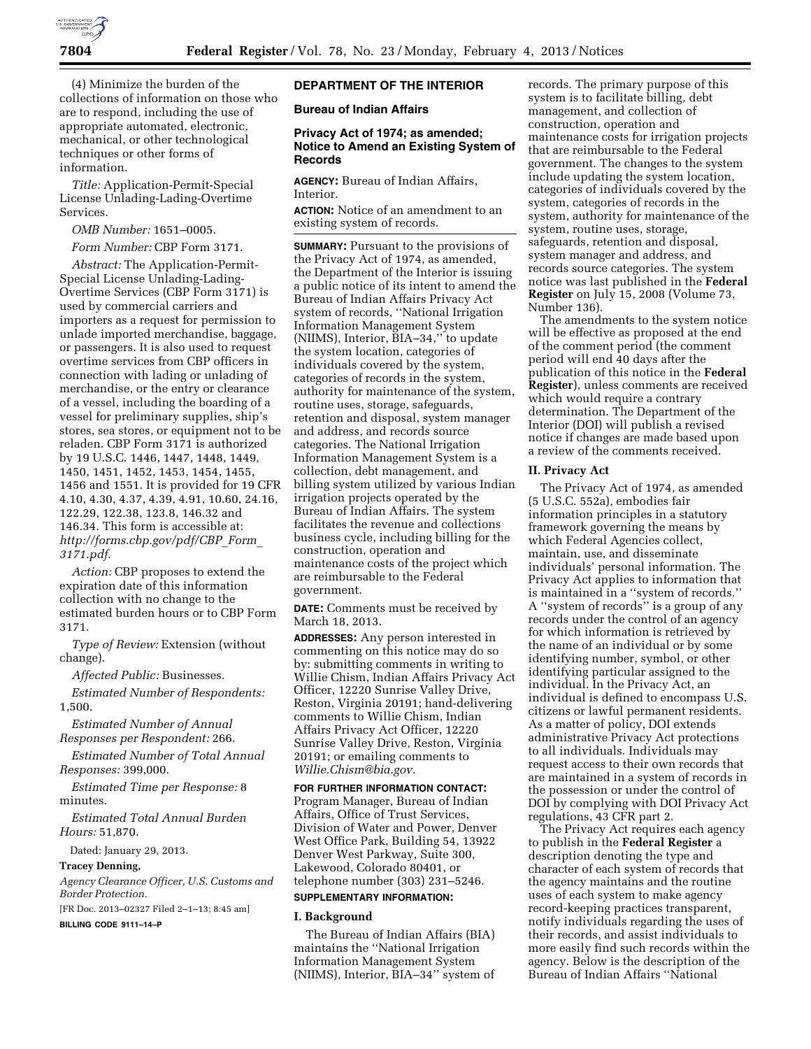

(4) Minimize the burden of the collections of information on those who are to respond, including the use of appropriate automated, electronic, mechanical, or other technological techniques or other forms of information.

*Title:* Application-Permit-Special License Unlading-Lading-Overtime Services.

*OMB Number:* 1651–0005.

*Form Number:* CBP Form 3171.

*Abstract:* The Application-Permit-Special License Unlading-Lading-Overtime Services (CBP Form 3171) is used by commercial carriers and importers as a request for permission to unlade imported merchandise, baggage, or passengers. It is also used to request overtime services from CBP officers in connection with lading or unlading of merchandise, or the entry or clearance of a vessel, including the boarding of a vessel for preliminary supplies, ship's stores, sea stores, or equipment not to be reladen. CBP Form 3171 is authorized by 19 U.S.C. 1446, 1447, 1448, 1449, 1450, 1451, 1452, 1453, 1454, 1455, 1456 and 1551. It is provided for 19 CFR 4.10, 4.30, 4.37, 4.39, 4.91, 10.60, 24.16, 122.29, 122.38, 123.8, 146.32 and 146.34. This form is accessible at: *[http://forms.cbp.gov/pdf/CBP](http://forms.cbp.gov/pdf/CBP_Form_3171.pdf)*\_*Form*\_ *[3171.pdf](http://forms.cbp.gov/pdf/CBP_Form_3171.pdf)*.

*Action:* CBP proposes to extend the expiration date of this information collection with no change to the estimated burden hours or to CBP Form 3171.

*Type of Review:* Extension (without change).

*Affected Public:* Businesses.

*Estimated Number of Respondents:*  1,500.

*Estimated Number of Annual Responses per Respondent:* 266.

*Estimated Number of Total Annual Responses:* 399,000.

*Estimated Time per Response:* 8 minutes.

*Estimated Total Annual Burden Hours:* 51,870.

Dated: January 29, 2013.

**Tracey Denning,** 

*Agency Clearance Officer, U.S. Customs and Border Protection.* 

[FR Doc. 2013–02327 Filed 2–1–13; 8:45 am]

**BILLING CODE 9111–14–P** 

## **DEPARTMENT OF THE INTERIOR**

**Bureau of Indian Affairs** 

## **Privacy Act of 1974; as amended; Notice to Amend an Existing System of Records**

**AGENCY:** Bureau of Indian Affairs, Interior.

**ACTION:** Notice of an amendment to an existing system of records.

**SUMMARY:** Pursuant to the provisions of the Privacy Act of 1974, as amended, the Department of the Interior is issuing a public notice of its intent to amend the Bureau of Indian Affairs Privacy Act system of records, ''National Irrigation Information Management System (NIIMS), Interior, BIA–34,'' to update the system location, categories of individuals covered by the system, categories of records in the system, authority for maintenance of the system, routine uses, storage, safeguards, retention and disposal, system manager and address, and records source categories. The National Irrigation Information Management System is a collection, debt management, and billing system utilized by various Indian irrigation projects operated by the Bureau of Indian Affairs. The system facilitates the revenue and collections business cycle, including billing for the construction, operation and maintenance costs of the project which are reimbursable to the Federal government.

**DATE:** Comments must be received by March 18, 2013.

**ADDRESSES:** Any person interested in commenting on this notice may do so by: submitting comments in writing to Willie Chism, Indian Affairs Privacy Act Officer, 12220 Sunrise Valley Drive, Reston, Virginia 20191; hand-delivering comments to Willie Chism, Indian Affairs Privacy Act Officer, 12220 Sunrise Valley Drive, Reston, Virginia 20191; or emailing comments to *[Willie.Chism@bia.gov.](mailto:Willie.Chism@bia.gov)* 

## **FOR FURTHER INFORMATION CONTACT:**

Program Manager, Bureau of Indian Affairs, Office of Trust Services, Division of Water and Power, Denver West Office Park, Building 54, 13922 Denver West Parkway, Suite 300, Lakewood, Colorado 80401, or telephone number (303) 231–5246.

# **SUPPLEMENTARY INFORMATION:**

## **I. Background**

The Bureau of Indian Affairs (BIA) maintains the ''National Irrigation Information Management System (NIIMS), Interior, BIA–34'' system of

records. The primary purpose of this system is to facilitate billing, debt management, and collection of construction, operation and maintenance costs for irrigation projects that are reimbursable to the Federal government. The changes to the system include updating the system location, categories of individuals covered by the system, categories of records in the system, authority for maintenance of the system, routine uses, storage, safeguards, retention and disposal, system manager and address, and records source categories. The system notice was last published in the **Federal Register** on July 15, 2008 (Volume 73, Number 136).

The amendments to the system notice will be effective as proposed at the end of the comment period (the comment period will end 40 days after the publication of this notice in the **Federal Register**), unless comments are received which would require a contrary determination. The Department of the Interior (DOI) will publish a revised notice if changes are made based upon a review of the comments received.

## **II. Privacy Act**

The Privacy Act of 1974, as amended (5 U.S.C. 552a), embodies fair information principles in a statutory framework governing the means by which Federal Agencies collect, maintain, use, and disseminate individuals' personal information. The Privacy Act applies to information that is maintained in a ''system of records.'' A ''system of records'' is a group of any records under the control of an agency for which information is retrieved by the name of an individual or by some identifying number, symbol, or other identifying particular assigned to the individual. In the Privacy Act, an individual is defined to encompass U.S. citizens or lawful permanent residents. As a matter of policy, DOI extends administrative Privacy Act protections to all individuals. Individuals may request access to their own records that are maintained in a system of records in the possession or under the control of DOI by complying with DOI Privacy Act regulations, 43 CFR part 2.

The Privacy Act requires each agency to publish in the **Federal Register** a description denoting the type and character of each system of records that the agency maintains and the routine uses of each system to make agency record-keeping practices transparent, notify individuals regarding the uses of their records, and assist individuals to more easily find such records within the agency. Below is the description of the Bureau of Indian Affairs ''National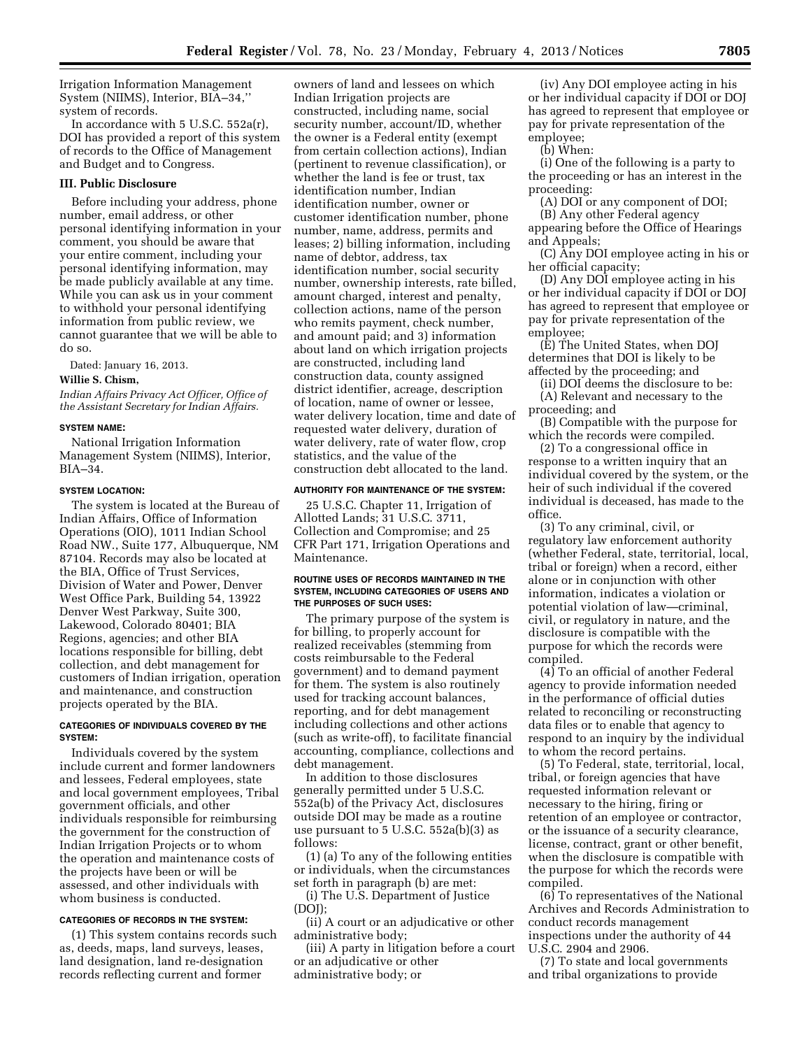Irrigation Information Management System (NIIMS), Interior, BIA–34,'' system of records.

In accordance with 5 U.S.C. 552a(r), DOI has provided a report of this system of records to the Office of Management and Budget and to Congress.

#### **III. Public Disclosure**

Before including your address, phone number, email address, or other personal identifying information in your comment, you should be aware that your entire comment, including your personal identifying information, may be made publicly available at any time. While you can ask us in your comment to withhold your personal identifying information from public review, we cannot guarantee that we will be able to do so.

Dated: January 16, 2013.

## **Willie S. Chism,**

*Indian Affairs Privacy Act Officer, Office of the Assistant Secretary for Indian Affairs.* 

#### **SYSTEM NAME:**

National Irrigation Information Management System (NIIMS), Interior, BIA–34.

## **SYSTEM LOCATION:**

The system is located at the Bureau of Indian Affairs, Office of Information Operations (OIO), 1011 Indian School Road NW., Suite 177, Albuquerque, NM 87104. Records may also be located at the BIA, Office of Trust Services, Division of Water and Power, Denver West Office Park, Building 54, 13922 Denver West Parkway, Suite 300, Lakewood, Colorado 80401; BIA Regions, agencies; and other BIA locations responsible for billing, debt collection, and debt management for customers of Indian irrigation, operation and maintenance, and construction projects operated by the BIA.

## **CATEGORIES OF INDIVIDUALS COVERED BY THE SYSTEM:**

Individuals covered by the system include current and former landowners and lessees, Federal employees, state and local government employees, Tribal government officials, and other individuals responsible for reimbursing the government for the construction of Indian Irrigation Projects or to whom the operation and maintenance costs of the projects have been or will be assessed, and other individuals with whom business is conducted.

## **CATEGORIES OF RECORDS IN THE SYSTEM:**

(1) This system contains records such as, deeds, maps, land surveys, leases, land designation, land re-designation records reflecting current and former

owners of land and lessees on which Indian Irrigation projects are constructed, including name, social security number, account/ID, whether the owner is a Federal entity (exempt from certain collection actions), Indian (pertinent to revenue classification), or whether the land is fee or trust, tax identification number, Indian identification number, owner or customer identification number, phone number, name, address, permits and leases; 2) billing information, including name of debtor, address, tax identification number, social security number, ownership interests, rate billed, amount charged, interest and penalty, collection actions, name of the person who remits payment, check number, and amount paid; and 3) information about land on which irrigation projects are constructed, including land construction data, county assigned district identifier, acreage, description of location, name of owner or lessee, water delivery location, time and date of requested water delivery, duration of water delivery, rate of water flow, crop statistics, and the value of the construction debt allocated to the land.

#### **AUTHORITY FOR MAINTENANCE OF THE SYSTEM:**

25 U.S.C. Chapter 11, Irrigation of Allotted Lands; 31 U.S.C. 3711, Collection and Compromise; and 25 CFR Part 171, Irrigation Operations and Maintenance.

#### **ROUTINE USES OF RECORDS MAINTAINED IN THE SYSTEM, INCLUDING CATEGORIES OF USERS AND THE PURPOSES OF SUCH USES:**

The primary purpose of the system is for billing, to properly account for realized receivables (stemming from costs reimbursable to the Federal government) and to demand payment for them. The system is also routinely used for tracking account balances, reporting, and for debt management including collections and other actions (such as write-off), to facilitate financial accounting, compliance, collections and debt management.

In addition to those disclosures generally permitted under 5 U.S.C. 552a(b) of the Privacy Act, disclosures outside DOI may be made as a routine use pursuant to 5 U.S.C. 552a(b)(3) as follows:

(1) (a) To any of the following entities or individuals, when the circumstances set forth in paragraph (b) are met:

(i) The U.S. Department of Justice (DOJ);

(ii) A court or an adjudicative or other administrative body;

(iii) A party in litigation before a court or an adjudicative or other administrative body; or

(iv) Any DOI employee acting in his or her individual capacity if DOI or DOJ has agreed to represent that employee or pay for private representation of the employee;

(b) When:

(i) One of the following is a party to the proceeding or has an interest in the proceeding:

(A) DOI or any component of DOI; (B) Any other Federal agency

appearing before the Office of Hearings and Appeals;

(C) Any DOI employee acting in his or her official capacity;

(D) Any DOI employee acting in his or her individual capacity if DOI or DOJ has agreed to represent that employee or pay for private representation of the employee;

(E) The United States, when DOJ determines that DOI is likely to be affected by the proceeding; and

(ii) DOI deems the disclosure to be: (A) Relevant and necessary to the proceeding; and

(B) Compatible with the purpose for which the records were compiled.

(2) To a congressional office in response to a written inquiry that an individual covered by the system, or the heir of such individual if the covered individual is deceased, has made to the office.

(3) To any criminal, civil, or regulatory law enforcement authority (whether Federal, state, territorial, local, tribal or foreign) when a record, either alone or in conjunction with other information, indicates a violation or potential violation of law—criminal, civil, or regulatory in nature, and the disclosure is compatible with the purpose for which the records were compiled.

(4) To an official of another Federal agency to provide information needed in the performance of official duties related to reconciling or reconstructing data files or to enable that agency to respond to an inquiry by the individual to whom the record pertains.

(5) To Federal, state, territorial, local, tribal, or foreign agencies that have requested information relevant or necessary to the hiring, firing or retention of an employee or contractor, or the issuance of a security clearance, license, contract, grant or other benefit, when the disclosure is compatible with the purpose for which the records were compiled.

(6) To representatives of the National Archives and Records Administration to conduct records management inspections under the authority of 44 U.S.C. 2904 and 2906.

(7) To state and local governments and tribal organizations to provide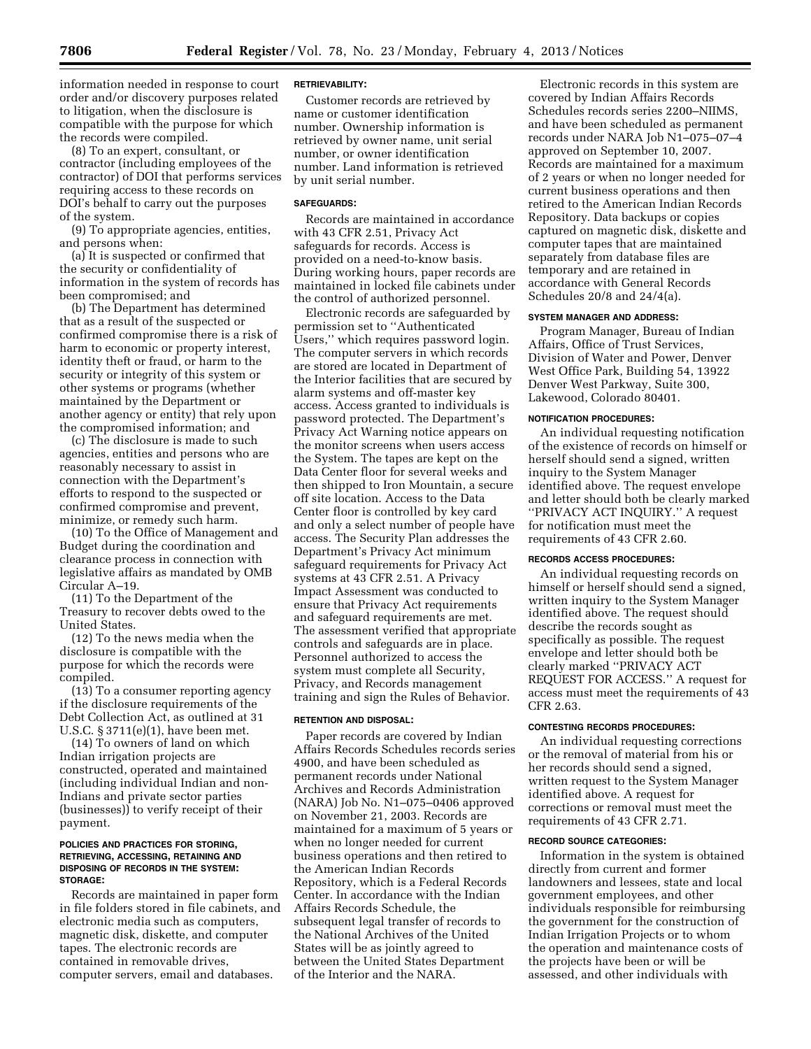information needed in response to court order and/or discovery purposes related to litigation, when the disclosure is compatible with the purpose for which the records were compiled.

(8) To an expert, consultant, or contractor (including employees of the contractor) of DOI that performs services requiring access to these records on DOI's behalf to carry out the purposes of the system.

(9) To appropriate agencies, entities, and persons when:

(a) It is suspected or confirmed that the security or confidentiality of information in the system of records has been compromised; and

(b) The Department has determined that as a result of the suspected or confirmed compromise there is a risk of harm to economic or property interest, identity theft or fraud, or harm to the security or integrity of this system or other systems or programs (whether maintained by the Department or another agency or entity) that rely upon the compromised information; and

(c) The disclosure is made to such agencies, entities and persons who are reasonably necessary to assist in connection with the Department's efforts to respond to the suspected or confirmed compromise and prevent, minimize, or remedy such harm.

(10) To the Office of Management and Budget during the coordination and clearance process in connection with legislative affairs as mandated by OMB Circular A–19.

(11) To the Department of the Treasury to recover debts owed to the United States.

(12) To the news media when the disclosure is compatible with the purpose for which the records were compiled.

(13) To a consumer reporting agency if the disclosure requirements of the Debt Collection Act, as outlined at 31 U.S.C. § 3711(e)(1), have been met.

(14) To owners of land on which Indian irrigation projects are constructed, operated and maintained (including individual Indian and non-Indians and private sector parties (businesses)) to verify receipt of their payment.

#### **POLICIES AND PRACTICES FOR STORING, RETRIEVING, ACCESSING, RETAINING AND DISPOSING OF RECORDS IN THE SYSTEM: STORAGE:**

Records are maintained in paper form in file folders stored in file cabinets, and electronic media such as computers, magnetic disk, diskette, and computer tapes. The electronic records are contained in removable drives, computer servers, email and databases.

## **RETRIEVABILITY:**

Customer records are retrieved by name or customer identification number. Ownership information is retrieved by owner name, unit serial number, or owner identification number. Land information is retrieved by unit serial number.

## **SAFEGUARDS:**

Records are maintained in accordance with 43 CFR 2.51, Privacy Act safeguards for records. Access is provided on a need-to-know basis. During working hours, paper records are maintained in locked file cabinets under the control of authorized personnel.

Electronic records are safeguarded by permission set to ''Authenticated Users,'' which requires password login. The computer servers in which records are stored are located in Department of the Interior facilities that are secured by alarm systems and off-master key access. Access granted to individuals is password protected. The Department's Privacy Act Warning notice appears on the monitor screens when users access the System. The tapes are kept on the Data Center floor for several weeks and then shipped to Iron Mountain, a secure off site location. Access to the Data Center floor is controlled by key card and only a select number of people have access. The Security Plan addresses the Department's Privacy Act minimum safeguard requirements for Privacy Act systems at 43 CFR 2.51. A Privacy Impact Assessment was conducted to ensure that Privacy Act requirements and safeguard requirements are met. The assessment verified that appropriate controls and safeguards are in place. Personnel authorized to access the system must complete all Security, Privacy, and Records management training and sign the Rules of Behavior.

## **RETENTION AND DISPOSAL:**

Paper records are covered by Indian Affairs Records Schedules records series 4900, and have been scheduled as permanent records under National Archives and Records Administration (NARA) Job No. N1–075–0406 approved on November 21, 2003. Records are maintained for a maximum of 5 years or when no longer needed for current business operations and then retired to the American Indian Records Repository, which is a Federal Records Center. In accordance with the Indian Affairs Records Schedule, the subsequent legal transfer of records to the National Archives of the United States will be as jointly agreed to between the United States Department of the Interior and the NARA.

Electronic records in this system are covered by Indian Affairs Records Schedules records series 2200–NIIMS, and have been scheduled as permanent records under NARA Job N1–075–07–4 approved on September 10, 2007. Records are maintained for a maximum of 2 years or when no longer needed for current business operations and then retired to the American Indian Records Repository. Data backups or copies captured on magnetic disk, diskette and computer tapes that are maintained separately from database files are temporary and are retained in accordance with General Records Schedules 20/8 and 24/4(a).

#### **SYSTEM MANAGER AND ADDRESS:**

Program Manager, Bureau of Indian Affairs, Office of Trust Services, Division of Water and Power, Denver West Office Park, Building 54, 13922 Denver West Parkway, Suite 300, Lakewood, Colorado 80401.

#### **NOTIFICATION PROCEDURES:**

An individual requesting notification of the existence of records on himself or herself should send a signed, written inquiry to the System Manager identified above. The request envelope and letter should both be clearly marked ''PRIVACY ACT INQUIRY.'' A request for notification must meet the requirements of 43 CFR 2.60.

## **RECORDS ACCESS PROCEDURES:**

An individual requesting records on himself or herself should send a signed, written inquiry to the System Manager identified above. The request should describe the records sought as specifically as possible. The request envelope and letter should both be clearly marked ''PRIVACY ACT REQUEST FOR ACCESS.'' A request for access must meet the requirements of 43 CFR 2.63.

#### **CONTESTING RECORDS PROCEDURES:**

An individual requesting corrections or the removal of material from his or her records should send a signed, written request to the System Manager identified above. A request for corrections or removal must meet the requirements of 43 CFR 2.71.

#### **RECORD SOURCE CATEGORIES:**

Information in the system is obtained directly from current and former landowners and lessees, state and local government employees, and other individuals responsible for reimbursing the government for the construction of Indian Irrigation Projects or to whom the operation and maintenance costs of the projects have been or will be assessed, and other individuals with